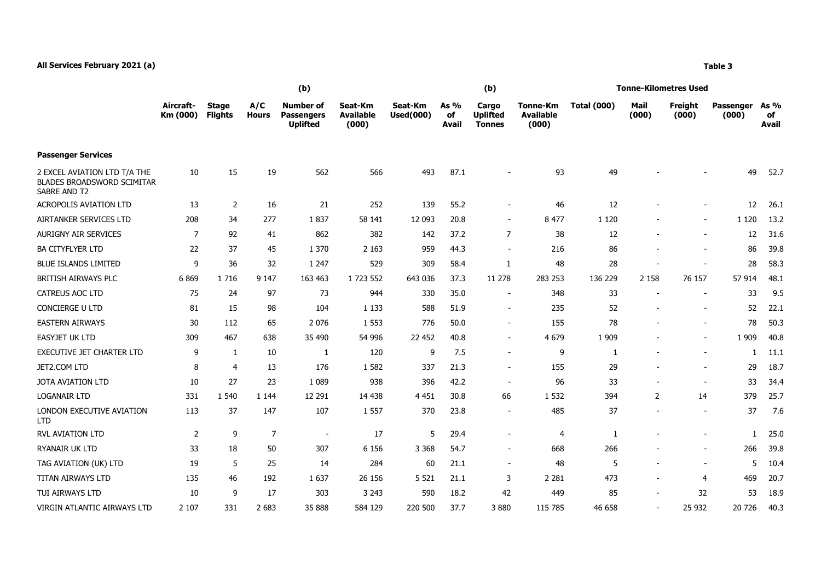## **All Services February 2021 (a) Table 3**

|                                                                                   | (b)                   |                                |                     |                                                          |                                      |                             |                            | (b)                                       |                                       | <b>Tonne-Kilometres Used</b> |                          |                          |                           |                     |
|-----------------------------------------------------------------------------------|-----------------------|--------------------------------|---------------------|----------------------------------------------------------|--------------------------------------|-----------------------------|----------------------------|-------------------------------------------|---------------------------------------|------------------------------|--------------------------|--------------------------|---------------------------|---------------------|
|                                                                                   | Aircraft-<br>Km (000) | <b>Stage</b><br><b>Flights</b> | A/C<br><b>Hours</b> | <b>Number of</b><br><b>Passengers</b><br><b>Uplifted</b> | Seat-Km<br><b>Available</b><br>(000) | Seat-Km<br><b>Used(000)</b> | As %<br>of<br><b>Avail</b> | Cargo<br><b>Uplifted</b><br><b>Tonnes</b> | Tonne-Km<br><b>Available</b><br>(000) | <b>Total (000)</b>           | Mail<br>(000)            | Freight<br>(000)         | <b>Passenger</b><br>(000) | As %<br>of<br>Avail |
| <b>Passenger Services</b>                                                         |                       |                                |                     |                                                          |                                      |                             |                            |                                           |                                       |                              |                          |                          |                           |                     |
| 2 EXCEL AVIATION LTD T/A THE<br><b>BLADES BROADSWORD SCIMITAR</b><br>SABRE AND T2 | 10                    | 15                             | 19                  | 562                                                      | 566                                  | 493                         | 87.1                       | $\overline{\phantom{a}}$                  | 93                                    | 49                           |                          |                          | 49                        | 52.7                |
| <b>ACROPOLIS AVIATION LTD</b>                                                     | 13                    | 2                              | 16                  | 21                                                       | 252                                  | 139                         | 55.2                       | $\overline{\phantom{a}}$                  | 46                                    | 12                           | $\overline{\phantom{a}}$ | $\overline{\phantom{a}}$ | 12                        | 26.1                |
| AIRTANKER SERVICES LTD                                                            | 208                   | 34                             | 277                 | 1837                                                     | 58 141                               | 12 093                      | 20.8                       | $\overline{\phantom{a}}$                  | 8 4 7 7                               | 1 1 2 0                      | $\overline{\phantom{a}}$ | $\sim$                   | 1 1 2 0                   | 13.2                |
| AURIGNY AIR SERVICES                                                              | 7                     | 92                             | 41                  | 862                                                      | 382                                  | 142                         | 37.2                       | 7                                         | 38                                    | 12                           | $\overline{\phantom{a}}$ | $\overline{\phantom{a}}$ | 12                        | 31.6                |
| <b>BA CITYFLYER LTD</b>                                                           | 22                    | 37                             | 45                  | 1 370                                                    | 2 1 6 3                              | 959                         | 44.3                       | $\overline{\phantom{a}}$                  | 216                                   | 86                           | $\overline{\phantom{a}}$ | $\overline{\phantom{a}}$ | 86                        | 39.8                |
| <b>BLUE ISLANDS LIMITED</b>                                                       | 9                     | 36                             | 32                  | 1 247                                                    | 529                                  | 309                         | 58.4                       |                                           | 48                                    | 28                           | $\overline{\phantom{a}}$ | $\overline{\phantom{a}}$ | 28                        | 58.3                |
| BRITISH AIRWAYS PLC                                                               | 6869                  | 1716                           | 9 1 4 7             | 163 463                                                  | 1 723 552                            | 643 036                     | 37.3                       | 11 278                                    | 283 253                               | 136 229                      | 2 1 5 8                  | 76 157                   | 57 914                    | 48.1                |
| <b>CATREUS AOC LTD</b>                                                            | 75                    | 24                             | 97                  | 73                                                       | 944                                  | 330                         | 35.0                       | $\overline{\phantom{a}}$                  | 348                                   | 33                           | -                        |                          | 33                        | 9.5                 |
| CONCIERGE U LTD                                                                   | 81                    | 15                             | 98                  | 104                                                      | 1 1 3 3                              | 588                         | 51.9                       | $\overline{\phantom{a}}$                  | 235                                   | 52                           | $\overline{\phantom{a}}$ | $\overline{\phantom{a}}$ | 52                        | 22.1                |

| <b>BLUE ISLANDS LIMITED</b>             | 9       | 36   | 32      | 1 2 4 7                  | 529       | 309     | 58.4 |                          | 48      | 28      |                          |                          | 28      | 58.3 |
|-----------------------------------------|---------|------|---------|--------------------------|-----------|---------|------|--------------------------|---------|---------|--------------------------|--------------------------|---------|------|
| BRITISH AIRWAYS PLC                     | 6869    | 1716 | 9 1 4 7 | 163 463                  | 1 723 552 | 643 036 | 37.3 | 11 278                   | 283 253 | 136 229 | 2 1 5 8                  | 76 157                   | 57 914  | 48.1 |
| CATREUS AOC LTD                         | 75      | 24   | 97      | 73                       | 944       | 330     | 35.0 | $\overline{\phantom{a}}$ | 348     | 33      |                          | $\overline{\phantom{a}}$ | 33      | 9.5  |
| <b>CONCIERGE U LTD</b>                  | 81      | 15   | 98      | 104                      | 1 1 3 3   | 588     | 51.9 |                          | 235     | 52      |                          | $\overline{\phantom{a}}$ | 52      | 22.1 |
| <b>EASTERN AIRWAYS</b>                  | 30      | 112  | 65      | 2 0 7 6                  | 1 5 5 3   | 776     | 50.0 |                          | 155     | 78      |                          | $\overline{\phantom{a}}$ | 78      | 50.3 |
| <b>EASYJET UK LTD</b>                   | 309     | 467  | 638     | 35 490                   | 54 996    | 22 452  | 40.8 |                          | 4 6 7 9 | 1 9 0 9 |                          | $\overline{\phantom{a}}$ | 1 9 0 9 | 40.8 |
| <b>EXECUTIVE JET CHARTER LTD</b>        | 9       |      | 10      |                          | 120       | 9       | 7.5  |                          | 9       |         |                          | $\overline{\phantom{a}}$ |         | 11.1 |
| JET2.COM LTD                            | 8       | 4    | 13      | 176                      | 1 5 8 2   | 337     | 21.3 | $\overline{\phantom{a}}$ | 155     | 29      |                          | $\overline{\phantom{a}}$ | 29      | 18.7 |
| JOTA AVIATION LTD                       | 10      | 27   | 23      | 1 0 8 9                  | 938       | 396     | 42.2 |                          | 96      | 33      |                          | $\overline{\phantom{a}}$ | 33      | 34.4 |
| <b>LOGANAIR LTD</b>                     | 331     | .540 | 1 1 4 4 | 12 291                   | 14 4 38   | 4 4 5 1 | 30.8 | 66                       | 1 5 3 2 | 394     | $\overline{2}$           | 14                       | 379     | 25.7 |
| LONDON EXECUTIVE AVIATION<br><b>LTD</b> | 113     | 37   | 147     | 107                      | 1 5 5 7   | 370     | 23.8 |                          | 485     | 37      |                          | $\overline{\phantom{a}}$ | 37      | 7.6  |
| <b>RVL AVIATION LTD</b>                 | 2       | 9    | 7       | $\overline{\phantom{a}}$ | 17        | 5       | 29.4 |                          | 4       |         |                          |                          |         | 25.0 |
| RYANAIR UK LTD                          | 33      | 18   | 50      | 307                      | 6 1 5 6   | 3 3 6 8 | 54.7 |                          | 668     | 266     |                          | $\overline{\phantom{a}}$ | 266     | 39.8 |
| TAG AVIATION (UK) LTD                   | 19      | 5    | 25      | 14                       | 284       | 60      | 21.1 |                          | 48      | 5       |                          | $\overline{\phantom{a}}$ | 5       | 10.4 |
| TITAN AIRWAYS LTD                       | 135     | 46   | 192     | 1637                     | 26 15 6   | 5 5 2 1 | 21.1 | 3                        | 2 2 8 1 | 473     |                          | $\overline{4}$           | 469     | 20.7 |
| TUI AIRWAYS LTD                         | 10      | 9    | 17      | 303                      | 3 2 4 3   | 590     | 18.2 | 42                       | 449     | 85      | $\overline{\phantom{0}}$ | 32                       | 53      | 18.9 |
| VIRGIN ATLANTIC AIRWAYS LTD             | 2 1 0 7 | 331  | 2 6 8 3 | 35 888                   | 584 129   | 220 500 | 37.7 | 3880                     | 115 785 | 46 658  |                          | 25 932                   | 20 726  | 40.3 |